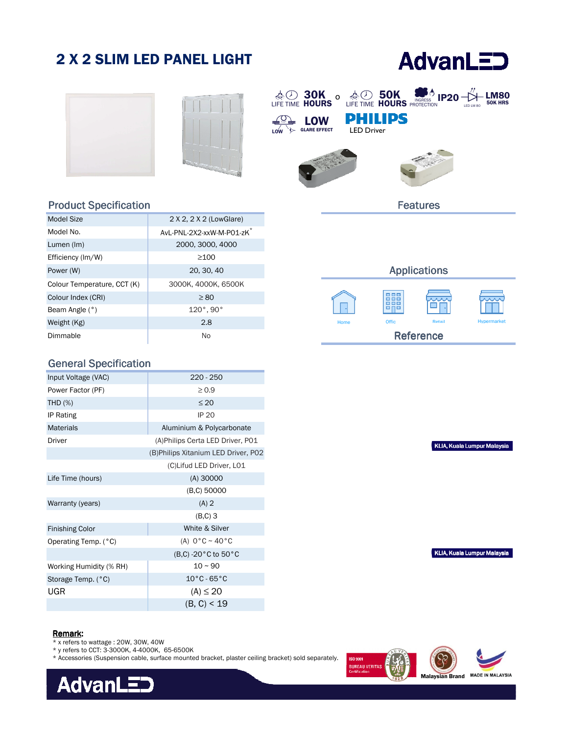# 2 X 2 SLIM LED PANEL LIGHT

# **AdvanLED**







#### Product Specification

| Model Size                  | 2 X 2, 2 X 2 (LowGlare)               |  |
|-----------------------------|---------------------------------------|--|
| Model No.                   | AvL-PNL-2X2-xxW-M-P01-zK <sup>*</sup> |  |
| Lumen (Im)                  | 2000, 3000, 4000                      |  |
| Efficiency (Im/W)           | >100                                  |  |
| Power (W)                   | 20, 30, 40                            |  |
| Colour Temperature, CCT (K) | 3000К, 4000К, 6500К                   |  |
| Colour Index (CRI)          | $\geq 80$                             |  |
| Beam Angle (°)              | 120°, 90°                             |  |
| Weight (Kg)                 | 2.8                                   |  |
| Dimmable                    | No                                    |  |

### General Specification

| Input Voltage (VAC)     | $220 - 250$                          |  |  |
|-------------------------|--------------------------------------|--|--|
| Power Factor (PF)       | $\geq 0.9$                           |  |  |
| <b>THD (%)</b>          | $\leq 20$                            |  |  |
| IP Rating               | <b>IP 20</b>                         |  |  |
| <b>Materials</b>        | Aluminium & Polycarbonate            |  |  |
| Driver                  | (A) Philips Certa LED Driver, P01    |  |  |
|                         | (B) Philips Xitanium LED Driver, P02 |  |  |
|                         | (C)Lifud LED Driver, L01             |  |  |
| Life Time (hours)       | $(A)$ 30000                          |  |  |
|                         | (B,C) 50000                          |  |  |
| Warranty (years)        | $(A)$ 2                              |  |  |
|                         | $(B,C)$ 3                            |  |  |
| <b>Finishing Color</b>  | White & Silver                       |  |  |
| Operating Temp. (°C)    | (A) $0^{\circ}$ C ~ 40 $^{\circ}$ C  |  |  |
|                         | (B,C) -20°C to 50°C                  |  |  |
| Working Humidity (% RH) | $10 \sim 90$                         |  |  |
| Storage Temp. (°C)      | $10^{\circ}$ C - 65 $^{\circ}$ C     |  |  |
| UGR                     | $(A) \le 20$                         |  |  |
|                         | (B, C) < 19                          |  |  |

#### Applications **THE** П Offic Hypermarket Home Offic Retail Reference

Features

KLIA, Kuala Lumpur Malaysia

KLIA, Kuala Lumpur Malaysia

#### Remark:

- \* x refers to wattage : 20W, 30W, 40W
- \* y refers to CCT: 3-3000K, 4-4000K, 65-6500K

\* Accessories (Suspension cable, surface mounted bracket, plaster ceiling bracket) sold separately.